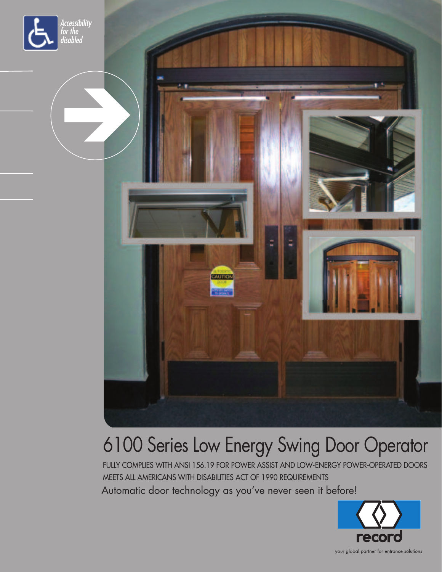



## 6100 Series Low Energy Swing Door Operator

FULLY COMPLIES WITH ANSI 156.19 FOR POWER ASSIST AND LOW-ENERGY POWER-OPERATED DOORS MEETS ALL AMERICANS WITH DISABILITIES ACT OF 1990 REQUIREMENTS Automatic door technology as you've never seen it before!